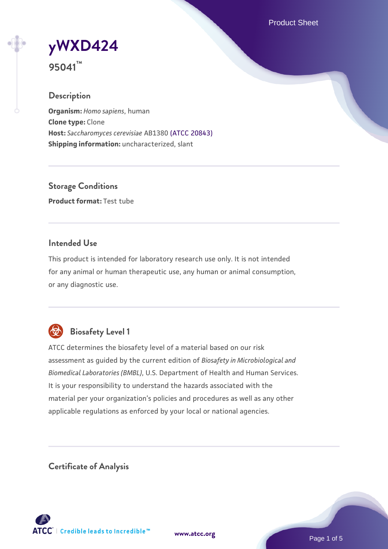Product Sheet

**[yWXD424](https://www.atcc.org/products/95041)**

**95041™**

#### **Description**

**Organism:** *Homo sapiens*, human **Clone type:** Clone **Host:** *Saccharomyces cerevisiae* AB1380 [\(ATCC 20843\)](https://www.atcc.org/products/20843) **Shipping information:** uncharacterized, slant

**Storage Conditions Product format:** Test tube

#### **Intended Use**

This product is intended for laboratory research use only. It is not intended for any animal or human therapeutic use, any human or animal consumption, or any diagnostic use.



## **Biosafety Level 1**

ATCC determines the biosafety level of a material based on our risk assessment as guided by the current edition of *Biosafety in Microbiological and Biomedical Laboratories (BMBL)*, U.S. Department of Health and Human Services. It is your responsibility to understand the hazards associated with the material per your organization's policies and procedures as well as any other applicable regulations as enforced by your local or national agencies.

**Certificate of Analysis**

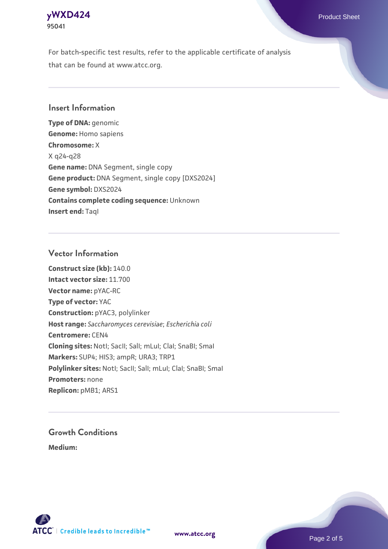

For batch-specific test results, refer to the applicable certificate of analysis that can be found at www.atcc.org.

### **Insert Information**

**Type of DNA:** genomic **Genome:** Homo sapiens **Chromosome:** X X q24-q28 **Gene name:** DNA Segment, single copy **Gene product:** DNA Segment, single copy [DXS2024] **Gene symbol:** DXS2024 **Contains complete coding sequence:** Unknown **Insert end: Tagl** 

#### **Vector Information**

**Construct size (kb):** 140.0 **Intact vector size:** 11.700 **Vector name:** pYAC-RC **Type of vector:** YAC **Construction:** pYAC3, polylinker **Host range:** *Saccharomyces cerevisiae*; *Escherichia coli* **Centromere:** CEN4 **Cloning sites:** NotI; SacII; SalI; mLuI; ClaI; SnaBI; SmaI **Markers:** SUP4; HIS3; ampR; URA3; TRP1 Polylinker sites: Notl; SacII; SalI; mLuI; ClaI; SnaBI; SmaI **Promoters:** none **Replicon:** pMB1; ARS1

# **Growth Conditions**

**Medium:** 



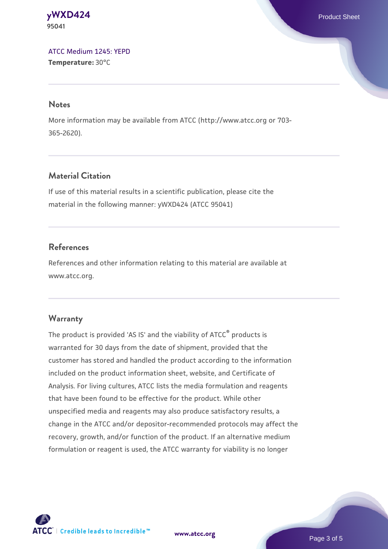**[yWXD424](https://www.atcc.org/products/95041)** Product Sheet **95041**

[ATCC Medium 1245: YEPD](https://www.atcc.org/-/media/product-assets/documents/microbial-media-formulations/1/2/4/5/atcc-medium-1245.pdf?rev=705ca55d1b6f490a808a965d5c072196) **Temperature:** 30°C

#### **Notes**

More information may be available from ATCC (http://www.atcc.org or 703- 365-2620).

## **Material Citation**

If use of this material results in a scientific publication, please cite the material in the following manner: yWXD424 (ATCC 95041)

## **References**

References and other information relating to this material are available at www.atcc.org.

#### **Warranty**

The product is provided 'AS IS' and the viability of ATCC® products is warranted for 30 days from the date of shipment, provided that the customer has stored and handled the product according to the information included on the product information sheet, website, and Certificate of Analysis. For living cultures, ATCC lists the media formulation and reagents that have been found to be effective for the product. While other unspecified media and reagents may also produce satisfactory results, a change in the ATCC and/or depositor-recommended protocols may affect the recovery, growth, and/or function of the product. If an alternative medium formulation or reagent is used, the ATCC warranty for viability is no longer



**[www.atcc.org](http://www.atcc.org)**

Page 3 of 5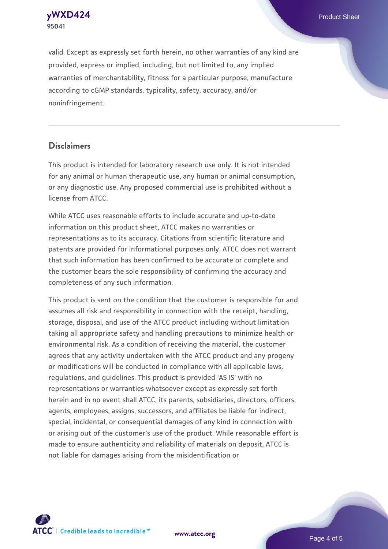**[yWXD424](https://www.atcc.org/products/95041)** Product Sheet **95041**

valid. Except as expressly set forth herein, no other warranties of any kind are provided, express or implied, including, but not limited to, any implied warranties of merchantability, fitness for a particular purpose, manufacture according to cGMP standards, typicality, safety, accuracy, and/or noninfringement.

#### **Disclaimers**

This product is intended for laboratory research use only. It is not intended for any animal or human therapeutic use, any human or animal consumption, or any diagnostic use. Any proposed commercial use is prohibited without a license from ATCC.

While ATCC uses reasonable efforts to include accurate and up-to-date information on this product sheet, ATCC makes no warranties or representations as to its accuracy. Citations from scientific literature and patents are provided for informational purposes only. ATCC does not warrant that such information has been confirmed to be accurate or complete and the customer bears the sole responsibility of confirming the accuracy and completeness of any such information.

This product is sent on the condition that the customer is responsible for and assumes all risk and responsibility in connection with the receipt, handling, storage, disposal, and use of the ATCC product including without limitation taking all appropriate safety and handling precautions to minimize health or environmental risk. As a condition of receiving the material, the customer agrees that any activity undertaken with the ATCC product and any progeny or modifications will be conducted in compliance with all applicable laws, regulations, and guidelines. This product is provided 'AS IS' with no representations or warranties whatsoever except as expressly set forth herein and in no event shall ATCC, its parents, subsidiaries, directors, officers, agents, employees, assigns, successors, and affiliates be liable for indirect, special, incidental, or consequential damages of any kind in connection with or arising out of the customer's use of the product. While reasonable effort is made to ensure authenticity and reliability of materials on deposit, ATCC is not liable for damages arising from the misidentification or



**[www.atcc.org](http://www.atcc.org)**

Page 4 of 5